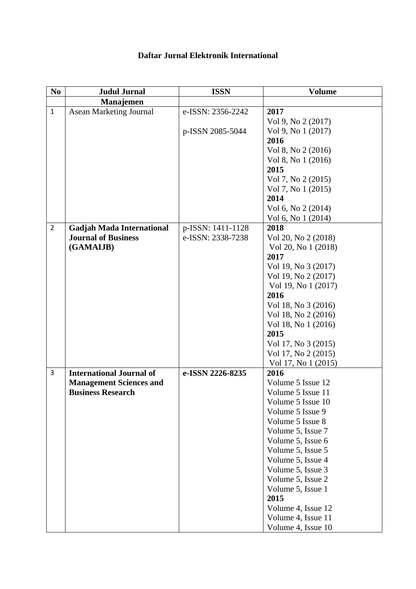| N <sub>0</sub> | <b>Judul Jurnal</b>                                        | <b>ISSN</b>       | <b>Volume</b>                          |
|----------------|------------------------------------------------------------|-------------------|----------------------------------------|
|                | Manajemen                                                  |                   |                                        |
| $\mathbf{1}$   | <b>Asean Marketing Journal</b>                             | e-ISSN: 2356-2242 | 2017                                   |
|                |                                                            |                   | Vol 9, No 2 (2017)                     |
|                |                                                            | p-ISSN 2085-5044  | Vol 9, No 1 (2017)                     |
|                |                                                            |                   | 2016                                   |
|                |                                                            |                   | Vol 8, No 2 (2016)                     |
|                |                                                            |                   | Vol 8, No 1 (2016)                     |
|                |                                                            |                   | 2015                                   |
|                |                                                            |                   | Vol 7, No 2 (2015)                     |
|                |                                                            |                   | Vol 7, No 1 (2015)                     |
|                |                                                            |                   | 2014                                   |
|                |                                                            |                   | Vol 6, No 2 (2014)                     |
|                |                                                            |                   | Vol 6, No 1 (2014)                     |
| $\overline{2}$ | <b>Gadjah Mada International</b>                           | p-ISSN: 1411-1128 | 2018                                   |
|                | <b>Journal of Business</b>                                 | e-ISSN: 2338-7238 | Vol 20, No 2 (2018)                    |
|                | (GAMAIJB)                                                  |                   | Vol 20, No 1 (2018)                    |
|                |                                                            |                   | 2017                                   |
|                |                                                            |                   | Vol 19, No 3 (2017)                    |
|                |                                                            |                   | Vol 19, No 2 (2017)                    |
|                |                                                            |                   | Vol 19, No 1 (2017)                    |
|                |                                                            |                   | 2016                                   |
|                |                                                            |                   | Vol 18, No 3 (2016)                    |
|                |                                                            |                   | Vol 18, No 2 (2016)                    |
|                |                                                            |                   | Vol 18, No 1 (2016)                    |
|                |                                                            |                   | 2015                                   |
|                |                                                            |                   | Vol 17, No 3 (2015)                    |
|                |                                                            |                   | Vol 17, No 2 (2015)                    |
| 3              |                                                            |                   | Vol 17, No 1 (2015)                    |
|                | <b>International Journal of</b>                            | e-ISSN 2226-8235  | 2016                                   |
|                | <b>Management Sciences and</b><br><b>Business Research</b> |                   | Volume 5 Issue 12<br>Volume 5 Issue 11 |
|                |                                                            |                   |                                        |
|                |                                                            |                   | Volume 5 Issue 10<br>Volume 5 Issue 9  |
|                |                                                            |                   | Volume 5 Issue 8                       |
|                |                                                            |                   | Volume 5, Issue 7                      |
|                |                                                            |                   | Volume 5, Issue 6                      |
|                |                                                            |                   | Volume 5, Issue 5                      |
|                |                                                            |                   | Volume 5, Issue 4                      |
|                |                                                            |                   | Volume 5, Issue 3                      |
|                |                                                            |                   | Volume 5, Issue 2                      |
|                |                                                            |                   | Volume 5, Issue 1                      |
|                |                                                            |                   | 2015                                   |
|                |                                                            |                   | Volume 4, Issue 12                     |
|                |                                                            |                   | Volume 4, Issue 11                     |
|                |                                                            |                   | Volume 4, Issue 10                     |

## **Daftar Jurnal Elektronik International**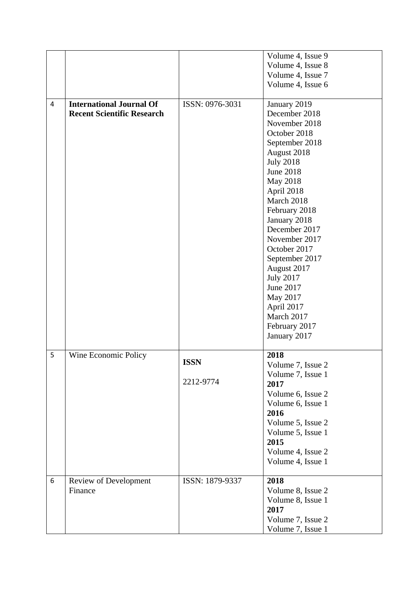|   |                                   |                 | Volume 4, Issue 9 |
|---|-----------------------------------|-----------------|-------------------|
|   |                                   |                 | Volume 4, Issue 8 |
|   |                                   |                 | Volume 4, Issue 7 |
|   |                                   |                 | Volume 4, Issue 6 |
|   |                                   |                 |                   |
| 4 | <b>International Journal Of</b>   | ISSN: 0976-3031 | January 2019      |
|   | <b>Recent Scientific Research</b> |                 | December 2018     |
|   |                                   |                 | November 2018     |
|   |                                   |                 | October 2018      |
|   |                                   |                 | September 2018    |
|   |                                   |                 | August 2018       |
|   |                                   |                 | <b>July 2018</b>  |
|   |                                   |                 | <b>June 2018</b>  |
|   |                                   |                 | May 2018          |
|   |                                   |                 | April 2018        |
|   |                                   |                 | March 2018        |
|   |                                   |                 | February 2018     |
|   |                                   |                 | January 2018      |
|   |                                   |                 | December 2017     |
|   |                                   |                 | November 2017     |
|   |                                   |                 | October 2017      |
|   |                                   |                 | September 2017    |
|   |                                   |                 | August 2017       |
|   |                                   |                 | <b>July 2017</b>  |
|   |                                   |                 | June 2017         |
|   |                                   |                 | May 2017          |
|   |                                   |                 | April 2017        |
|   |                                   |                 | March 2017        |
|   |                                   |                 | February 2017     |
|   |                                   |                 | January 2017      |
|   |                                   |                 |                   |
| 5 | Wine Economic Policy              |                 | 2018              |
|   |                                   | <b>ISSN</b>     | Volume 7, Issue 2 |
|   |                                   | 2212-9774       | Volume 7, Issue 1 |
|   |                                   |                 | 2017              |
|   |                                   |                 | Volume 6, Issue 2 |
|   |                                   |                 | Volume 6, Issue 1 |
|   |                                   |                 | 2016              |
|   |                                   |                 | Volume 5, Issue 2 |
|   |                                   |                 | Volume 5, Issue 1 |
|   |                                   |                 | 2015              |
|   |                                   |                 | Volume 4, Issue 2 |
|   |                                   |                 | Volume 4, Issue 1 |
| 6 | Review of Development             | ISSN: 1879-9337 | 2018              |
|   | Finance                           |                 | Volume 8, Issue 2 |
|   |                                   |                 | Volume 8, Issue 1 |
|   |                                   |                 | 2017              |
|   |                                   |                 | Volume 7, Issue 2 |
|   |                                   |                 | Volume 7, Issue 1 |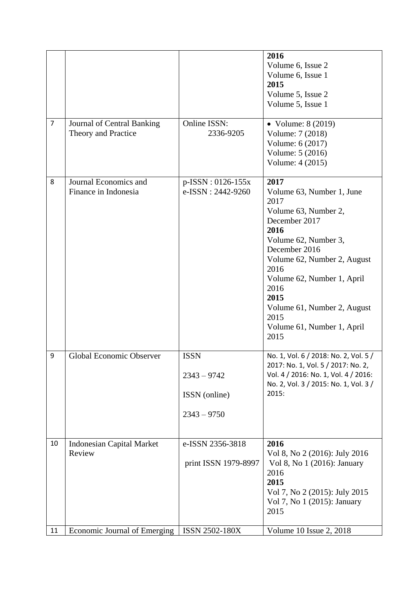|                |                                  |                       | 2016                                                                        |
|----------------|----------------------------------|-----------------------|-----------------------------------------------------------------------------|
|                |                                  |                       | Volume 6, Issue 2                                                           |
|                |                                  |                       | Volume 6, Issue 1                                                           |
|                |                                  |                       | 2015                                                                        |
|                |                                  |                       | Volume 5, Issue 2                                                           |
|                |                                  |                       | Volume 5, Issue 1                                                           |
|                |                                  |                       |                                                                             |
| $\overline{7}$ | Journal of Central Banking       | Online ISSN:          | • Volume: $8(2019)$                                                         |
|                | Theory and Practice              | 2336-9205             | Volume: 7 (2018)                                                            |
|                |                                  |                       | Volume: 6 (2017)                                                            |
|                |                                  |                       | Volume: 5 (2016)                                                            |
|                |                                  |                       | Volume: 4 (2015)                                                            |
| 8              | Journal Economics and            | $p$ -ISSN : 0126-155x | 2017                                                                        |
|                | Finance in Indonesia             | e-ISSN: 2442-9260     | Volume 63, Number 1, June                                                   |
|                |                                  |                       | 2017                                                                        |
|                |                                  |                       | Volume 63, Number 2,                                                        |
|                |                                  |                       | December 2017                                                               |
|                |                                  |                       | 2016                                                                        |
|                |                                  |                       | Volume 62, Number 3,                                                        |
|                |                                  |                       | December 2016                                                               |
|                |                                  |                       | Volume 62, Number 2, August                                                 |
|                |                                  |                       | 2016                                                                        |
|                |                                  |                       | Volume 62, Number 1, April                                                  |
|                |                                  |                       | 2016                                                                        |
|                |                                  |                       | 2015                                                                        |
|                |                                  |                       | Volume 61, Number 2, August                                                 |
|                |                                  |                       | 2015                                                                        |
|                |                                  |                       | Volume 61, Number 1, April                                                  |
|                |                                  |                       | 2015                                                                        |
|                |                                  |                       |                                                                             |
| 9              | Global Economic Observer         | <b>ISSN</b>           | No. 1, Vol. 6 / 2018: No. 2, Vol. 5 /<br>2017: No. 1, Vol. 5 / 2017: No. 2, |
|                |                                  | $2343 - 9742$         | Vol. 4 / 2016: No. 1, Vol. 4 / 2016:                                        |
|                |                                  |                       | No. 2, Vol. 3 / 2015: No. 1, Vol. 3 /                                       |
|                |                                  | ISSN (online)         | 2015:                                                                       |
|                |                                  | $2343 - 9750$         |                                                                             |
|                |                                  |                       |                                                                             |
| 10             | <b>Indonesian Capital Market</b> | e-ISSN 2356-3818      | 2016                                                                        |
|                | Review                           |                       | Vol 8, No 2 (2016): July 2016                                               |
|                |                                  | print ISSN 1979-8997  | Vol 8, No 1 (2016): January                                                 |
|                |                                  |                       | 2016                                                                        |
|                |                                  |                       | 2015                                                                        |
|                |                                  |                       | Vol 7, No 2 (2015): July 2015                                               |
|                |                                  |                       | Vol 7, No 1 (2015): January                                                 |
|                |                                  |                       | 2015                                                                        |
| 11             | Economic Journal of Emerging     | <b>ISSN 2502-180X</b> | Volume 10 Issue 2, 2018                                                     |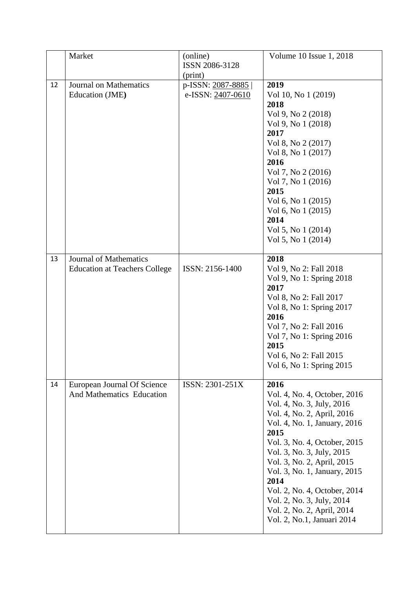|    | Market                               | (online)          | Volume 10 Issue 1, 2018      |
|----|--------------------------------------|-------------------|------------------------------|
|    |                                      | ISSN 2086-3128    |                              |
|    |                                      | (print)           |                              |
| 12 | <b>Journal on Mathematics</b>        | p-ISSN: 2087-8885 | 2019                         |
|    | Education (JME)                      | e-ISSN: 2407-0610 | Vol 10, No 1 (2019)          |
|    |                                      |                   | 2018                         |
|    |                                      |                   | Vol 9, No 2 (2018)           |
|    |                                      |                   | Vol 9, No 1 (2018)           |
|    |                                      |                   | 2017                         |
|    |                                      |                   | Vol 8, No 2 (2017)           |
|    |                                      |                   | Vol 8, No 1 (2017)           |
|    |                                      |                   | 2016                         |
|    |                                      |                   | Vol 7, No 2 (2016)           |
|    |                                      |                   | Vol 7, No 1 (2016)           |
|    |                                      |                   | 2015                         |
|    |                                      |                   | Vol 6, No 1 (2015)           |
|    |                                      |                   | Vol 6, No 1 (2015)           |
|    |                                      |                   | 2014                         |
|    |                                      |                   | Vol 5, No 1 (2014)           |
|    |                                      |                   | Vol 5, No 1 (2014)           |
|    |                                      |                   |                              |
| 13 | <b>Journal of Mathematics</b>        |                   | 2018                         |
|    | <b>Education at Teachers College</b> | ISSN: 2156-1400   | Vol 9, No 2: Fall 2018       |
|    |                                      |                   | Vol 9, No 1: Spring 2018     |
|    |                                      |                   | 2017                         |
|    |                                      |                   | Vol 8, No 2: Fall 2017       |
|    |                                      |                   | Vol 8, No 1: Spring 2017     |
|    |                                      |                   | 2016                         |
|    |                                      |                   | Vol 7, No 2: Fall 2016       |
|    |                                      |                   | Vol 7, No 1: Spring 2016     |
|    |                                      |                   | 2015                         |
|    |                                      |                   | Vol 6, No 2: Fall 2015       |
|    |                                      |                   | Vol 6, No 1: Spring 2015     |
| 14 | European Journal Of Science          | ISSN: 2301-251X   | 2016                         |
|    | <b>And Mathematics Education</b>     |                   | Vol. 4, No. 4, October, 2016 |
|    |                                      |                   | Vol. 4, No. 3, July, 2016    |
|    |                                      |                   | Vol. 4, No. 2, April, 2016   |
|    |                                      |                   | Vol. 4, No. 1, January, 2016 |
|    |                                      |                   | 2015                         |
|    |                                      |                   | Vol. 3, No. 4, October, 2015 |
|    |                                      |                   | Vol. 3, No. 3, July, 2015    |
|    |                                      |                   | Vol. 3, No. 2, April, 2015   |
|    |                                      |                   | Vol. 3, No. 1, January, 2015 |
|    |                                      |                   | 2014                         |
|    |                                      |                   | Vol. 2, No. 4, October, 2014 |
|    |                                      |                   | Vol. 2, No. 3, July, 2014    |
|    |                                      |                   | Vol. 2, No. 2, April, 2014   |
|    |                                      |                   | Vol. 2, No.1, Januari 2014   |
|    |                                      |                   |                              |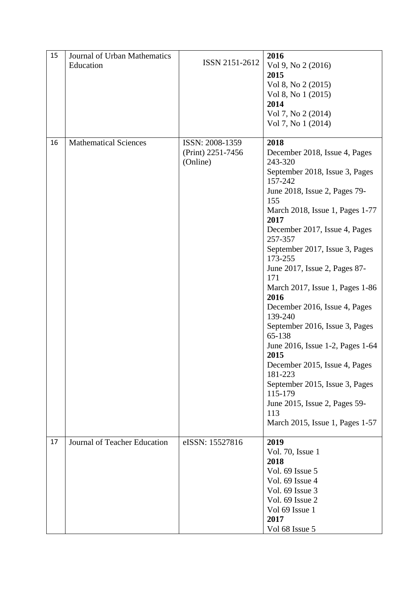| 15 | <b>Journal of Urban Mathematics</b><br>Education | ISSN 2151-2612                                   | 2016<br>Vol 9, No 2 (2016)<br>2015<br>Vol 8, No 2 (2015)<br>Vol 8, No 1 (2015)                                                                                                                                                                                                                                                                                                                                                                                                                                                                                                                                                                                       |
|----|--------------------------------------------------|--------------------------------------------------|----------------------------------------------------------------------------------------------------------------------------------------------------------------------------------------------------------------------------------------------------------------------------------------------------------------------------------------------------------------------------------------------------------------------------------------------------------------------------------------------------------------------------------------------------------------------------------------------------------------------------------------------------------------------|
|    |                                                  |                                                  | 2014<br>Vol 7, No 2 (2014)<br>Vol 7, No 1 (2014)                                                                                                                                                                                                                                                                                                                                                                                                                                                                                                                                                                                                                     |
| 16 | <b>Mathematical Sciences</b>                     | ISSN: 2008-1359<br>(Print) 2251-7456<br>(Online) | 2018<br>December 2018, Issue 4, Pages<br>243-320<br>September 2018, Issue 3, Pages<br>157-242<br>June 2018, Issue 2, Pages 79-<br>155<br>March 2018, Issue 1, Pages 1-77<br>2017<br>December 2017, Issue 4, Pages<br>257-357<br>September 2017, Issue 3, Pages<br>173-255<br>June 2017, Issue 2, Pages 87-<br>171<br>March 2017, Issue 1, Pages 1-86<br>2016<br>December 2016, Issue 4, Pages<br>139-240<br>September 2016, Issue 3, Pages<br>65-138<br>June 2016, Issue 1-2, Pages 1-64<br>2015<br>December 2015, Issue 4, Pages<br>181-223<br>September 2015, Issue 3, Pages<br>115-179<br>June 2015, Issue 2, Pages 59-<br>113<br>March 2015, Issue 1, Pages 1-57 |
| 17 | Journal of Teacher Education                     | eISSN: 15527816                                  | 2019<br>Vol. 70, Issue 1<br>2018<br>Vol. 69 Issue 5<br>Vol. 69 Issue 4<br>Vol. 69 Issue 3<br>Vol. 69 Issue 2<br>Vol 69 Issue 1<br>2017<br>Vol 68 Issue 5                                                                                                                                                                                                                                                                                                                                                                                                                                                                                                             |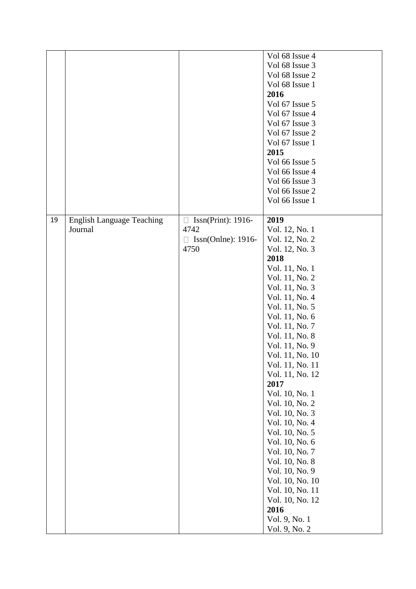|    |                                  |                                               | Vol 68 Issue 4  |
|----|----------------------------------|-----------------------------------------------|-----------------|
|    |                                  |                                               | Vol 68 Issue 3  |
|    |                                  |                                               | Vol 68 Issue 2  |
|    |                                  |                                               | Vol 68 Issue 1  |
|    |                                  |                                               | 2016            |
|    |                                  |                                               | Vol 67 Issue 5  |
|    |                                  |                                               | Vol 67 Issue 4  |
|    |                                  |                                               | Vol 67 Issue 3  |
|    |                                  |                                               | Vol 67 Issue 2  |
|    |                                  |                                               | Vol 67 Issue 1  |
|    |                                  |                                               | 2015            |
|    |                                  |                                               | Vol 66 Issue 5  |
|    |                                  |                                               | Vol 66 Issue 4  |
|    |                                  |                                               | Vol 66 Issue 3  |
|    |                                  |                                               | Vol 66 Issue 2  |
|    |                                  |                                               | Vol 66 Issue 1  |
|    |                                  |                                               |                 |
| 19 | <b>English Language Teaching</b> | $\text{Issn}(\text{Print}): 1916$ -<br>$\Box$ | 2019            |
|    | Journal                          | 4742                                          | Vol. 12, No. 1  |
|    |                                  | Issn(Onlne): 1916-<br>$\Box$                  | Vol. 12, No. 2  |
|    |                                  | 4750                                          | Vol. 12, No. 3  |
|    |                                  |                                               | 2018            |
|    |                                  |                                               | Vol. 11, No. 1  |
|    |                                  |                                               | Vol. 11, No. 2  |
|    |                                  |                                               | Vol. 11, No. 3  |
|    |                                  |                                               | Vol. 11, No. 4  |
|    |                                  |                                               | Vol. 11, No. 5  |
|    |                                  |                                               | Vol. 11, No. 6  |
|    |                                  |                                               | Vol. 11, No. 7  |
|    |                                  |                                               | Vol. 11, No. 8  |
|    |                                  |                                               | Vol. 11, No. 9  |
|    |                                  |                                               | Vol. 11, No. 10 |
|    |                                  |                                               | Vol. 11, No. 11 |
|    |                                  |                                               | Vol. 11, No. 12 |
|    |                                  |                                               | 2017            |
|    |                                  |                                               | Vol. 10, No. 1  |
|    |                                  |                                               | Vol. 10, No. 2  |
|    |                                  |                                               | Vol. 10, No. 3  |
|    |                                  |                                               | Vol. 10, No. 4  |
|    |                                  |                                               | Vol. 10, No. 5  |
|    |                                  |                                               | Vol. 10, No. 6  |
|    |                                  |                                               | Vol. 10, No. 7  |
|    |                                  |                                               | Vol. 10, No. 8  |
|    |                                  |                                               | Vol. 10, No. 9  |
|    |                                  |                                               | Vol. 10, No. 10 |
|    |                                  |                                               | Vol. 10, No. 11 |
|    |                                  |                                               | Vol. 10, No. 12 |
|    |                                  |                                               | 2016            |
|    |                                  |                                               | Vol. 9, No. 1   |
|    |                                  |                                               | Vol. 9, No. 2   |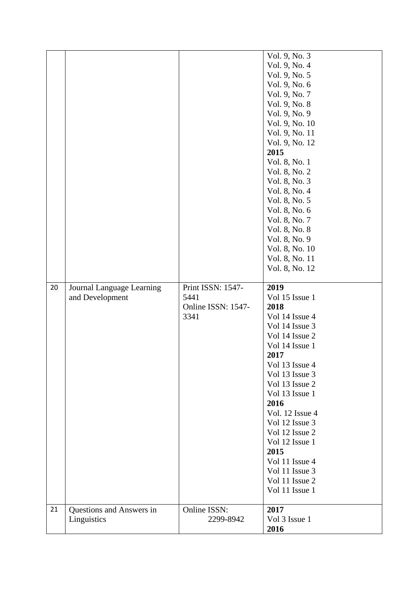|    |                           |                    | Vol. 9, No. 3   |
|----|---------------------------|--------------------|-----------------|
|    |                           |                    | Vol. 9, No. 4   |
|    |                           |                    | Vol. 9, No. 5   |
|    |                           |                    | Vol. 9, No. 6   |
|    |                           |                    | Vol. 9, No. 7   |
|    |                           |                    | Vol. 9, No. 8   |
|    |                           |                    | Vol. 9, No. 9   |
|    |                           |                    | Vol. 9, No. 10  |
|    |                           |                    | Vol. 9, No. 11  |
|    |                           |                    | Vol. 9, No. 12  |
|    |                           |                    | 2015            |
|    |                           |                    | Vol. 8, No. 1   |
|    |                           |                    | Vol. 8, No. 2   |
|    |                           |                    | Vol. 8, No. 3   |
|    |                           |                    |                 |
|    |                           |                    | Vol. 8, No. 4   |
|    |                           |                    | Vol. 8, No. 5   |
|    |                           |                    | Vol. 8, No. 6   |
|    |                           |                    | Vol. 8, No. 7   |
|    |                           |                    | Vol. 8, No. 8   |
|    |                           |                    | Vol. 8, No. 9   |
|    |                           |                    | Vol. 8, No. 10  |
|    |                           |                    | Vol. 8, No. 11  |
|    |                           |                    | Vol. 8, No. 12  |
| 20 | Journal Language Learning | Print ISSN: 1547-  | 2019            |
|    |                           |                    |                 |
|    |                           |                    |                 |
|    | and Development           | 5441               | Vol 15 Issue 1  |
|    |                           | Online ISSN: 1547- | 2018            |
|    |                           | 3341               | Vol 14 Issue 4  |
|    |                           |                    | Vol 14 Issue 3  |
|    |                           |                    | Vol 14 Issue 2  |
|    |                           |                    | Vol 14 Issue 1  |
|    |                           |                    | 2017            |
|    |                           |                    | Vol 13 Issue 4  |
|    |                           |                    | Vol 13 Issue 3  |
|    |                           |                    | Vol 13 Issue 2  |
|    |                           |                    | Vol 13 Issue 1  |
|    |                           |                    | 2016            |
|    |                           |                    | Vol. 12 Issue 4 |
|    |                           |                    | Vol 12 Issue 3  |
|    |                           |                    | Vol 12 Issue 2  |
|    |                           |                    | Vol 12 Issue 1  |
|    |                           |                    | 2015            |
|    |                           |                    | Vol 11 Issue 4  |
|    |                           |                    | Vol 11 Issue 3  |
|    |                           |                    | Vol 11 Issue 2  |
|    |                           |                    | Vol 11 Issue 1  |
| 21 | Questions and Answers in  | Online ISSN:       | 2017            |
|    | Linguistics               | 2299-8942          | Vol 3 Issue 1   |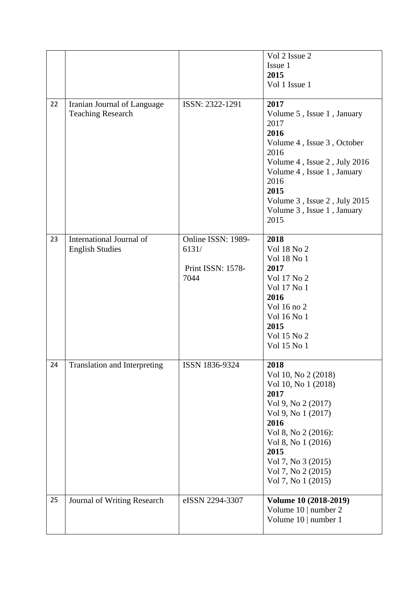|    |                                     |                    | Vol 2 Issue 2                |
|----|-------------------------------------|--------------------|------------------------------|
|    |                                     |                    | Issue 1                      |
|    |                                     |                    | 2015                         |
|    |                                     |                    | Vol 1 Issue 1                |
|    |                                     |                    |                              |
| 22 | Iranian Journal of Language         | ISSN: 2322-1291    | 2017                         |
|    | <b>Teaching Research</b>            |                    | Volume 5, Issue 1, January   |
|    |                                     |                    | 2017                         |
|    |                                     |                    | 2016                         |
|    |                                     |                    | Volume 4, Issue 3, October   |
|    |                                     |                    | 2016                         |
|    |                                     |                    | Volume 4, Issue 2, July 2016 |
|    |                                     |                    | Volume 4, Issue 1, January   |
|    |                                     |                    | 2016                         |
|    |                                     |                    | 2015                         |
|    |                                     |                    | Volume 3, Issue 2, July 2015 |
|    |                                     |                    | Volume 3, Issue 1, January   |
|    |                                     |                    | 2015                         |
|    |                                     |                    |                              |
| 23 | International Journal of            | Online ISSN: 1989- | 2018                         |
|    | <b>English Studies</b>              | 6131/              | Vol 18 No 2                  |
|    |                                     |                    | Vol 18 No 1                  |
|    |                                     | Print ISSN: 1578-  | 2017                         |
|    |                                     | 7044               | Vol 17 No 2                  |
|    |                                     |                    | Vol 17 No 1<br>2016          |
|    |                                     |                    | Vol 16 no 2                  |
|    |                                     |                    | Vol 16 No 1                  |
|    |                                     |                    | 2015                         |
|    |                                     |                    | Vol 15 No 2                  |
|    |                                     |                    | Vol 15 No 1                  |
|    |                                     |                    |                              |
| 24 | <b>Translation and Interpreting</b> | ISSN 1836-9324     | 2018                         |
|    |                                     |                    | Vol 10, No 2 (2018)          |
|    |                                     |                    | Vol 10, No 1 (2018)          |
|    |                                     |                    | 2017                         |
|    |                                     |                    | Vol 9, No 2 (2017)           |
|    |                                     |                    | Vol 9, No 1 (2017)           |
|    |                                     |                    | 2016                         |
|    |                                     |                    | Vol 8, No 2 (2016):          |
|    |                                     |                    | Vol 8, No 1 (2016)           |
|    |                                     |                    | 2015                         |
|    |                                     |                    | Vol 7, No 3 (2015)           |
|    |                                     |                    | Vol 7, No 2 (2015)           |
|    |                                     |                    | Vol 7, No 1 (2015)           |
| 25 | Journal of Writing Research         | eISSN 2294-3307    | Volume 10 (2018-2019)        |
|    |                                     |                    | Volume 10   number 2         |
|    |                                     |                    | Volume 10   number 1         |
|    |                                     |                    |                              |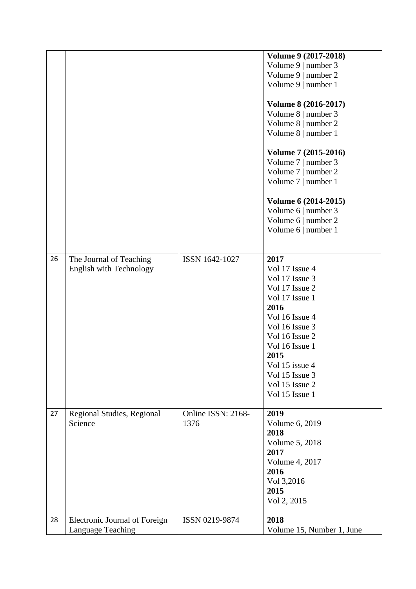|    |                                |                    | Volume 9 (2017-2018)      |
|----|--------------------------------|--------------------|---------------------------|
|    |                                |                    | Volume 9   number 3       |
|    |                                |                    | Volume 9   number 2       |
|    |                                |                    | Volume 9   number 1       |
|    |                                |                    |                           |
|    |                                |                    | Volume 8 (2016-2017)      |
|    |                                |                    | Volume 8   number 3       |
|    |                                |                    | Volume 8   number 2       |
|    |                                |                    | Volume 8   number 1       |
|    |                                |                    |                           |
|    |                                |                    | Volume 7 (2015-2016)      |
|    |                                |                    | Volume 7   number 3       |
|    |                                |                    |                           |
|    |                                |                    | Volume 7   number 2       |
|    |                                |                    | Volume 7   number 1       |
|    |                                |                    | Volume 6 (2014-2015)      |
|    |                                |                    | Volume 6   number 3       |
|    |                                |                    | Volume 6   number 2       |
|    |                                |                    | Volume 6   number 1       |
|    |                                |                    |                           |
|    |                                |                    |                           |
| 26 | The Journal of Teaching        | ISSN 1642-1027     | 2017                      |
|    | <b>English with Technology</b> |                    | Vol 17 Issue 4            |
|    |                                |                    | Vol 17 Issue 3            |
|    |                                |                    | Vol 17 Issue 2            |
|    |                                |                    | Vol 17 Issue 1            |
|    |                                |                    | 2016                      |
|    |                                |                    | Vol 16 Issue 4            |
|    |                                |                    | Vol 16 Issue 3            |
|    |                                |                    |                           |
|    |                                |                    | Vol 16 Issue 2            |
|    |                                |                    | Vol 16 Issue 1            |
|    |                                |                    | 2015                      |
|    |                                |                    | Vol 15 issue 4            |
|    |                                |                    | Vol 15 Issue 3            |
|    |                                |                    | Vol 15 Issue 2            |
|    |                                |                    | Vol 15 Issue 1            |
|    |                                |                    |                           |
| 27 | Regional Studies, Regional     | Online ISSN: 2168- | 2019                      |
|    | Science                        | 1376               | Volume 6, 2019            |
|    |                                |                    | 2018                      |
|    |                                |                    | Volume 5, 2018            |
|    |                                |                    | 2017                      |
|    |                                |                    | Volume 4, 2017            |
|    |                                |                    | 2016                      |
|    |                                |                    | Vol 3,2016                |
|    |                                |                    | 2015                      |
|    |                                |                    | Vol 2, 2015               |
|    |                                |                    |                           |
| 28 | Electronic Journal of Foreign  | ISSN 0219-9874     | 2018                      |
|    | <b>Language Teaching</b>       |                    | Volume 15, Number 1, June |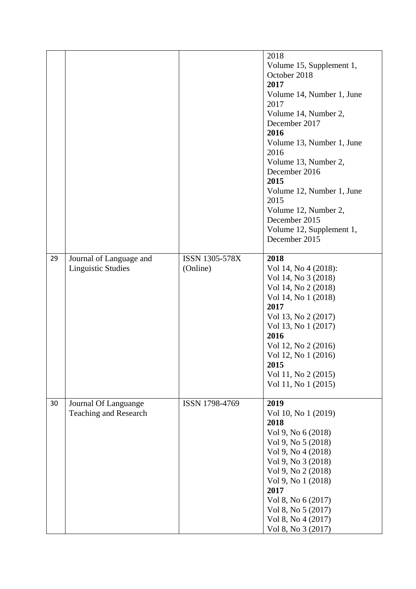|    |                              |                | 2018                      |
|----|------------------------------|----------------|---------------------------|
|    |                              |                | Volume 15, Supplement 1,  |
|    |                              |                | October 2018              |
|    |                              |                | 2017                      |
|    |                              |                | Volume 14, Number 1, June |
|    |                              |                | 2017                      |
|    |                              |                | Volume 14, Number 2,      |
|    |                              |                | December 2017             |
|    |                              |                | 2016                      |
|    |                              |                | Volume 13, Number 1, June |
|    |                              |                | 2016                      |
|    |                              |                | Volume 13, Number 2,      |
|    |                              |                | December 2016             |
|    |                              |                | 2015                      |
|    |                              |                |                           |
|    |                              |                | Volume 12, Number 1, June |
|    |                              |                | 2015                      |
|    |                              |                | Volume 12, Number 2,      |
|    |                              |                | December 2015             |
|    |                              |                | Volume 12, Supplement 1,  |
|    |                              |                | December 2015             |
| 29 | Journal of Language and      | ISSN 1305-578X | 2018                      |
|    | <b>Linguistic Studies</b>    | (Online)       | Vol 14, No 4 (2018):      |
|    |                              |                | Vol 14, No 3 (2018)       |
|    |                              |                | Vol 14, No 2 (2018)       |
|    |                              |                | Vol 14, No 1 (2018)       |
|    |                              |                | 2017                      |
|    |                              |                | Vol 13, No 2 (2017)       |
|    |                              |                | Vol 13, No 1 (2017)       |
|    |                              |                | 2016                      |
|    |                              |                | Vol 12, No 2 (2016)       |
|    |                              |                | Vol 12, No 1 (2016)       |
|    |                              |                | 2015                      |
|    |                              |                | Vol 11, No 2 (2015)       |
|    |                              |                | Vol 11, No 1 (2015)       |
|    |                              |                |                           |
| 30 | Journal Of Languange         | ISSN 1798-4769 | 2019                      |
|    | <b>Teaching and Research</b> |                | Vol 10, No 1 (2019)       |
|    |                              |                | 2018                      |
|    |                              |                | Vol 9, No 6 (2018)        |
|    |                              |                | Vol 9, No 5 (2018)        |
|    |                              |                | Vol 9, No 4 (2018)        |
|    |                              |                | Vol 9, No 3 (2018)        |
|    |                              |                | Vol 9, No 2 (2018)        |
|    |                              |                | Vol 9, No 1 (2018)        |
|    |                              |                | 2017                      |
|    |                              |                | Vol 8, No 6 (2017)        |
|    |                              |                | Vol 8, No 5 (2017)        |
|    |                              |                | Vol 8, No 4 (2017)        |
|    |                              |                | Vol 8, No 3 (2017)        |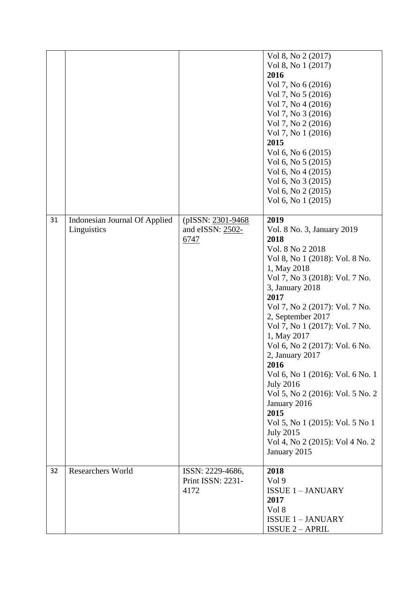|    |                               |                    | Vol 8, No 2 (2017)               |
|----|-------------------------------|--------------------|----------------------------------|
|    |                               |                    | Vol 8, No 1 (2017)               |
|    |                               |                    | 2016                             |
|    |                               |                    | Vol 7, No 6 (2016)               |
|    |                               |                    |                                  |
|    |                               |                    | Vol 7, No 5 (2016)               |
|    |                               |                    | Vol 7, No 4 (2016)               |
|    |                               |                    | Vol 7, No 3 (2016)               |
|    |                               |                    | Vol 7, No 2 (2016)               |
|    |                               |                    | Vol 7, No 1 (2016)               |
|    |                               |                    | 2015                             |
|    |                               |                    | Vol 6, No 6 (2015)               |
|    |                               |                    | Vol 6, No 5 (2015)               |
|    |                               |                    | Vol 6, No 4 (2015)               |
|    |                               |                    |                                  |
|    |                               |                    | Vol 6, No 3 (2015)               |
|    |                               |                    | Vol 6, No 2 (2015)               |
|    |                               |                    | Vol 6, No 1 (2015)               |
|    |                               |                    |                                  |
| 31 | Indonesian Journal Of Applied | (pISSN: 2301-9468) | 2019                             |
|    | Linguistics                   | and eISSN: 2502-   | Vol. 8 No. 3, January 2019       |
|    |                               | 6747               | 2018                             |
|    |                               |                    | Vol. 8 No 2 2018                 |
|    |                               |                    |                                  |
|    |                               |                    | Vol 8, No 1 (2018): Vol. 8 No.   |
|    |                               |                    | 1, May 2018                      |
|    |                               |                    | Vol 7, No 3 (2018): Vol. 7 No.   |
|    |                               |                    | 3, January 2018                  |
|    |                               |                    | 2017                             |
|    |                               |                    | Vol 7, No 2 (2017): Vol. 7 No.   |
|    |                               |                    | 2, September 2017                |
|    |                               |                    | Vol 7, No 1 (2017): Vol. 7 No.   |
|    |                               |                    | 1, May 2017                      |
|    |                               |                    | Vol 6, No 2 (2017): Vol. 6 No.   |
|    |                               |                    |                                  |
|    |                               |                    | 2, January 2017                  |
|    |                               |                    | 2016                             |
|    |                               |                    | Vol 6, No 1 (2016): Vol. 6 No. 1 |
|    |                               |                    | <b>July 2016</b>                 |
|    |                               |                    | Vol 5, No 2 (2016): Vol. 5 No. 2 |
|    |                               |                    | January 2016                     |
|    |                               |                    | 2015                             |
|    |                               |                    | Vol 5, No 1 (2015): Vol. 5 No 1  |
|    |                               |                    | <b>July 2015</b>                 |
|    |                               |                    | Vol 4, No 2 (2015): Vol 4 No. 2  |
|    |                               |                    |                                  |
|    |                               |                    | January 2015                     |
|    |                               |                    |                                  |
| 32 | <b>Researchers World</b>      | ISSN: 2229-4686,   | 2018                             |
|    |                               | Print ISSN: 2231-  | Vol 9                            |
|    |                               | 4172               | <b>ISSUE 1-JANUARY</b>           |
|    |                               |                    | 2017                             |
|    |                               |                    | Vol 8                            |
|    |                               |                    | <b>ISSUE 1-JANUARY</b>           |
|    |                               |                    | <b>ISSUE 2 - APRIL</b>           |
|    |                               |                    |                                  |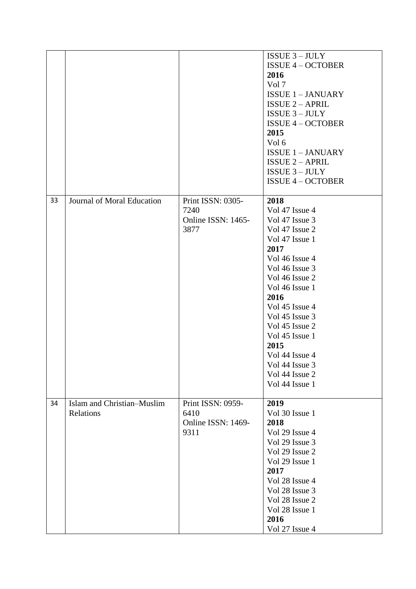|    |                                         |                                                         | $ISSUE 3 - JULY$<br><b>ISSUE 4 - OCTOBER</b><br>2016<br>Vol 7<br><b>ISSUE 1-JANUARY</b><br><b>ISSUE 2 - APRIL</b><br><b>ISSUE 3-JULY</b><br><b>ISSUE 4 - OCTOBER</b><br>2015<br>Vol 6<br><b>ISSUE 1-JANUARY</b><br><b>ISSUE 2 - APRIL</b>                                                                                    |
|----|-----------------------------------------|---------------------------------------------------------|------------------------------------------------------------------------------------------------------------------------------------------------------------------------------------------------------------------------------------------------------------------------------------------------------------------------------|
|    |                                         |                                                         | $ISSUE 3 - JULY$<br><b>ISSUE 4 - OCTOBER</b>                                                                                                                                                                                                                                                                                 |
| 33 | Journal of Moral Education              | Print ISSN: 0305-<br>7240<br>Online ISSN: 1465-<br>3877 | 2018<br>Vol 47 Issue 4<br>Vol 47 Issue 3<br>Vol 47 Issue 2<br>Vol 47 Issue 1<br>2017<br>Vol 46 Issue 4<br>Vol 46 Issue 3<br>Vol 46 Issue 2<br>Vol 46 Issue 1<br>2016<br>Vol 45 Issue 4<br>Vol 45 Issue 3<br>Vol 45 Issue 2<br>Vol 45 Issue 1<br>2015<br>Vol 44 Issue 4<br>Vol 44 Issue 3<br>Vol 44 Issue 2<br>Vol 44 Issue 1 |
| 34 | Islam and Christian-Muslim<br>Relations | Print ISSN: 0959-<br>6410<br>Online ISSN: 1469-<br>9311 | 2019<br>Vol 30 Issue 1<br>2018<br>Vol 29 Issue 4<br>Vol 29 Issue 3<br>Vol 29 Issue 2<br>Vol 29 Issue 1<br>2017<br>Vol 28 Issue 4<br>Vol 28 Issue 3<br>Vol 28 Issue 2<br>Vol 28 Issue 1<br>2016<br>Vol 27 Issue 4                                                                                                             |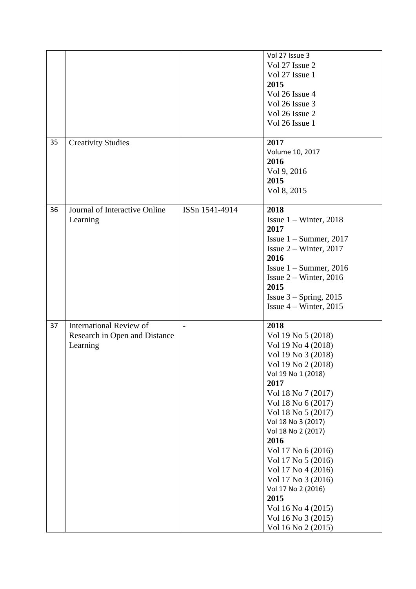| 35 | <b>Creativity Studies</b>                                                   |                | Vol 27 Issue 3<br>Vol 27 Issue 2<br>Vol 27 Issue 1<br>2015<br>Vol 26 Issue 4<br>Vol 26 Issue 3<br>Vol 26 Issue 2<br>Vol 26 Issue 1<br>2017                                                                                                                                                                                                                                                                                               |
|----|-----------------------------------------------------------------------------|----------------|------------------------------------------------------------------------------------------------------------------------------------------------------------------------------------------------------------------------------------------------------------------------------------------------------------------------------------------------------------------------------------------------------------------------------------------|
|    |                                                                             |                | Volume 10, 2017<br>2016<br>Vol 9, 2016<br>2015<br>Vol 8, 2015                                                                                                                                                                                                                                                                                                                                                                            |
| 36 | Journal of Interactive Online<br>Learning                                   | ISSn 1541-4914 | 2018<br>Issue $1 -$ Winter, 2018<br>2017<br>Issue $1 -$ Summer, 2017<br>Issue $2 -$ Winter, 2017<br>2016<br>Issue $1 -$ Summer, 2016<br>Issue $2 -$ Winter, 2016<br>2015<br>Issue $3 -$ Spring, 2015<br>Issue $4 -$ Winter, 2015                                                                                                                                                                                                         |
| 37 | <b>International Review of</b><br>Research in Open and Distance<br>Learning | $\blacksquare$ | 2018<br>Vol 19 No 5 (2018)<br>Vol 19 No 4 (2018)<br>Vol 19 No 3 (2018)<br>Vol 19 No 2 (2018)<br>Vol 19 No 1 (2018)<br>2017<br>Vol 18 No 7 (2017)<br>Vol 18 No 6 (2017)<br>Vol 18 No 5 (2017)<br>Vol 18 No 3 (2017)<br>Vol 18 No 2 (2017)<br>2016<br>Vol 17 No 6 (2016)<br>Vol 17 No 5 (2016)<br>Vol 17 No 4 (2016)<br>Vol 17 No 3 (2016)<br>Vol 17 No 2 (2016)<br>2015<br>Vol 16 No 4 (2015)<br>Vol 16 No 3 (2015)<br>Vol 16 No 2 (2015) |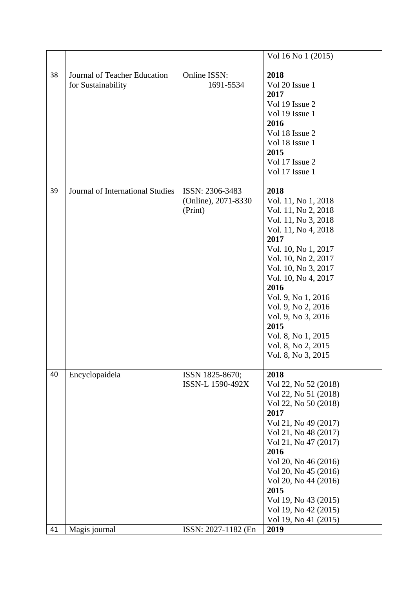| 38<br>Journal of Teacher Education<br>Online ISSN:<br>2018<br>for Sustainability<br>1691-5534<br>Vol 20 Issue 1<br>2017<br>Vol 19 Issue 2<br>Vol 19 Issue 1<br>2016<br>Vol 18 Issue 2<br>Vol 18 Issue 1<br>2015<br>Vol 17 Issue 2<br>Vol 17 Issue 1<br>Journal of International Studies<br>ISSN: 2306-3483<br>2018<br>39<br>(Online), 2071-8330<br>Vol. 11, No 1, 2018<br>(Print)<br>Vol. 11, No 2, 2018<br>Vol. 11, No 3, 2018<br>Vol. 11, No 4, 2018<br>2017<br>Vol. 10, No 1, 2017<br>Vol. 10, No 2, 2017<br>Vol. 10, No 3, 2017<br>Vol. 10, No 4, 2017<br>2016<br>Vol. 9, No 1, 2016<br>Vol. 9, No 2, 2016<br>Vol. 9, No 3, 2016<br>2015<br>Vol. 8, No 1, 2015<br>Vol. 8, No 2, 2015<br>Vol. 8, No 3, 2015<br>Encyclopaideia<br>40<br>2018<br>ISSN 1825-8670;<br>ISSN-L 1590-492X<br>Vol 22, No 52 (2018)<br>Vol 22, No 51 (2018)<br>Vol 22, No 50 (2018)<br>2017<br>Vol 21, No 49 (2017)<br>Vol 21, No 48 (2017)<br>Vol 21, No 47 (2017) | Vol 16 No 1 (2015) |
|-----------------------------------------------------------------------------------------------------------------------------------------------------------------------------------------------------------------------------------------------------------------------------------------------------------------------------------------------------------------------------------------------------------------------------------------------------------------------------------------------------------------------------------------------------------------------------------------------------------------------------------------------------------------------------------------------------------------------------------------------------------------------------------------------------------------------------------------------------------------------------------------------------------------------------------------------|--------------------|
|                                                                                                                                                                                                                                                                                                                                                                                                                                                                                                                                                                                                                                                                                                                                                                                                                                                                                                                                               |                    |
|                                                                                                                                                                                                                                                                                                                                                                                                                                                                                                                                                                                                                                                                                                                                                                                                                                                                                                                                               |                    |
| 2016<br>Vol 20, No 46 (2016)<br>Vol 20, No 45 (2016)<br>Vol 20, No 44 (2016)<br>2015<br>Vol 19, No 43 (2015)<br>Vol 19, No 42 (2015)<br>Vol 19, No 41 (2015)<br>2019<br>41<br>Magis journal<br>ISSN: 2027-1182 (En                                                                                                                                                                                                                                                                                                                                                                                                                                                                                                                                                                                                                                                                                                                            |                    |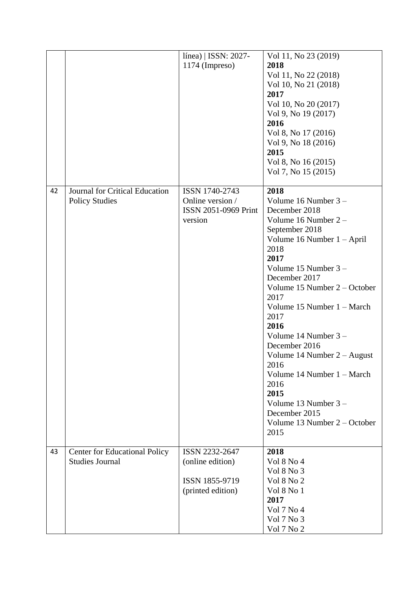| 1174 (Impreso)<br>2018<br>Vol 11, No 22 (2018)<br>Vol 10, No 21 (2018)<br>2017<br>Vol 10, No 20 (2017)<br>Vol 9, No 19 (2017)<br>2016<br>Vol 8, No 17 (2016)<br>Vol 9, No 18 (2016)<br>2015<br>Vol 8, No 16 (2015)<br>Vol 7, No 15 (2015)<br>Journal for Critical Education<br>42<br>ISSN 1740-2743<br>2018<br><b>Policy Studies</b><br>Online version /<br>Volume 16 Number 3 -<br>ISSN 2051-0969 Print<br>December 2018<br>Volume 16 Number 2 -<br>version<br>September 2018<br>Volume 16 Number $1 - April$<br>2018<br>2017<br>Volume 15 Number 3 -<br>December 2017<br>Volume 15 Number 2 – October<br>2017<br>Volume 15 Number 1 – March<br>2017<br>2016<br>Volume 14 Number $3 -$<br>December 2016<br>Volume 14 Number $2 -$ August<br>2016<br>Volume 14 Number 1 – March<br>2016 |  | línea)   ISSN: 2027- | Vol 11, No 23 (2019) |
|-----------------------------------------------------------------------------------------------------------------------------------------------------------------------------------------------------------------------------------------------------------------------------------------------------------------------------------------------------------------------------------------------------------------------------------------------------------------------------------------------------------------------------------------------------------------------------------------------------------------------------------------------------------------------------------------------------------------------------------------------------------------------------------------|--|----------------------|----------------------|
|                                                                                                                                                                                                                                                                                                                                                                                                                                                                                                                                                                                                                                                                                                                                                                                         |  |                      |                      |
|                                                                                                                                                                                                                                                                                                                                                                                                                                                                                                                                                                                                                                                                                                                                                                                         |  |                      |                      |
|                                                                                                                                                                                                                                                                                                                                                                                                                                                                                                                                                                                                                                                                                                                                                                                         |  |                      |                      |
|                                                                                                                                                                                                                                                                                                                                                                                                                                                                                                                                                                                                                                                                                                                                                                                         |  |                      |                      |
|                                                                                                                                                                                                                                                                                                                                                                                                                                                                                                                                                                                                                                                                                                                                                                                         |  |                      |                      |
|                                                                                                                                                                                                                                                                                                                                                                                                                                                                                                                                                                                                                                                                                                                                                                                         |  |                      |                      |
|                                                                                                                                                                                                                                                                                                                                                                                                                                                                                                                                                                                                                                                                                                                                                                                         |  |                      |                      |
|                                                                                                                                                                                                                                                                                                                                                                                                                                                                                                                                                                                                                                                                                                                                                                                         |  |                      |                      |
|                                                                                                                                                                                                                                                                                                                                                                                                                                                                                                                                                                                                                                                                                                                                                                                         |  |                      |                      |
|                                                                                                                                                                                                                                                                                                                                                                                                                                                                                                                                                                                                                                                                                                                                                                                         |  |                      |                      |
|                                                                                                                                                                                                                                                                                                                                                                                                                                                                                                                                                                                                                                                                                                                                                                                         |  |                      |                      |
|                                                                                                                                                                                                                                                                                                                                                                                                                                                                                                                                                                                                                                                                                                                                                                                         |  |                      |                      |
|                                                                                                                                                                                                                                                                                                                                                                                                                                                                                                                                                                                                                                                                                                                                                                                         |  |                      |                      |
|                                                                                                                                                                                                                                                                                                                                                                                                                                                                                                                                                                                                                                                                                                                                                                                         |  |                      |                      |
|                                                                                                                                                                                                                                                                                                                                                                                                                                                                                                                                                                                                                                                                                                                                                                                         |  |                      |                      |
|                                                                                                                                                                                                                                                                                                                                                                                                                                                                                                                                                                                                                                                                                                                                                                                         |  |                      |                      |
|                                                                                                                                                                                                                                                                                                                                                                                                                                                                                                                                                                                                                                                                                                                                                                                         |  |                      |                      |
|                                                                                                                                                                                                                                                                                                                                                                                                                                                                                                                                                                                                                                                                                                                                                                                         |  |                      |                      |
|                                                                                                                                                                                                                                                                                                                                                                                                                                                                                                                                                                                                                                                                                                                                                                                         |  |                      |                      |
|                                                                                                                                                                                                                                                                                                                                                                                                                                                                                                                                                                                                                                                                                                                                                                                         |  |                      |                      |
|                                                                                                                                                                                                                                                                                                                                                                                                                                                                                                                                                                                                                                                                                                                                                                                         |  |                      |                      |
|                                                                                                                                                                                                                                                                                                                                                                                                                                                                                                                                                                                                                                                                                                                                                                                         |  |                      |                      |
|                                                                                                                                                                                                                                                                                                                                                                                                                                                                                                                                                                                                                                                                                                                                                                                         |  |                      |                      |
|                                                                                                                                                                                                                                                                                                                                                                                                                                                                                                                                                                                                                                                                                                                                                                                         |  |                      |                      |
|                                                                                                                                                                                                                                                                                                                                                                                                                                                                                                                                                                                                                                                                                                                                                                                         |  |                      |                      |
|                                                                                                                                                                                                                                                                                                                                                                                                                                                                                                                                                                                                                                                                                                                                                                                         |  |                      |                      |
|                                                                                                                                                                                                                                                                                                                                                                                                                                                                                                                                                                                                                                                                                                                                                                                         |  |                      |                      |
|                                                                                                                                                                                                                                                                                                                                                                                                                                                                                                                                                                                                                                                                                                                                                                                         |  |                      |                      |
|                                                                                                                                                                                                                                                                                                                                                                                                                                                                                                                                                                                                                                                                                                                                                                                         |  |                      |                      |
|                                                                                                                                                                                                                                                                                                                                                                                                                                                                                                                                                                                                                                                                                                                                                                                         |  |                      |                      |
|                                                                                                                                                                                                                                                                                                                                                                                                                                                                                                                                                                                                                                                                                                                                                                                         |  |                      |                      |
|                                                                                                                                                                                                                                                                                                                                                                                                                                                                                                                                                                                                                                                                                                                                                                                         |  |                      |                      |
|                                                                                                                                                                                                                                                                                                                                                                                                                                                                                                                                                                                                                                                                                                                                                                                         |  |                      |                      |
|                                                                                                                                                                                                                                                                                                                                                                                                                                                                                                                                                                                                                                                                                                                                                                                         |  |                      |                      |
| 2015                                                                                                                                                                                                                                                                                                                                                                                                                                                                                                                                                                                                                                                                                                                                                                                    |  |                      |                      |
| Volume 13 Number $3 -$                                                                                                                                                                                                                                                                                                                                                                                                                                                                                                                                                                                                                                                                                                                                                                  |  |                      |                      |
| December 2015                                                                                                                                                                                                                                                                                                                                                                                                                                                                                                                                                                                                                                                                                                                                                                           |  |                      |                      |
| Volume $13$ Number $2 -$ October                                                                                                                                                                                                                                                                                                                                                                                                                                                                                                                                                                                                                                                                                                                                                        |  |                      |                      |
| 2015                                                                                                                                                                                                                                                                                                                                                                                                                                                                                                                                                                                                                                                                                                                                                                                    |  |                      |                      |
| ISSN 2232-2647<br>2018<br><b>Center for Educational Policy</b><br>43                                                                                                                                                                                                                                                                                                                                                                                                                                                                                                                                                                                                                                                                                                                    |  |                      |                      |
| <b>Studies Journal</b><br>(online edition)<br>Vol 8 No 4                                                                                                                                                                                                                                                                                                                                                                                                                                                                                                                                                                                                                                                                                                                                |  |                      |                      |
| Vol 8 No 3                                                                                                                                                                                                                                                                                                                                                                                                                                                                                                                                                                                                                                                                                                                                                                              |  |                      |                      |
| ISSN 1855-9719<br>Vol 8 No 2                                                                                                                                                                                                                                                                                                                                                                                                                                                                                                                                                                                                                                                                                                                                                            |  |                      |                      |
| Vol 8 No 1<br>(printed edition)                                                                                                                                                                                                                                                                                                                                                                                                                                                                                                                                                                                                                                                                                                                                                         |  |                      |                      |
| 2017                                                                                                                                                                                                                                                                                                                                                                                                                                                                                                                                                                                                                                                                                                                                                                                    |  |                      |                      |
| Vol 7 No 4                                                                                                                                                                                                                                                                                                                                                                                                                                                                                                                                                                                                                                                                                                                                                                              |  |                      |                      |
| Vol 7 No 3                                                                                                                                                                                                                                                                                                                                                                                                                                                                                                                                                                                                                                                                                                                                                                              |  |                      |                      |
| Vol 7 No 2                                                                                                                                                                                                                                                                                                                                                                                                                                                                                                                                                                                                                                                                                                                                                                              |  |                      |                      |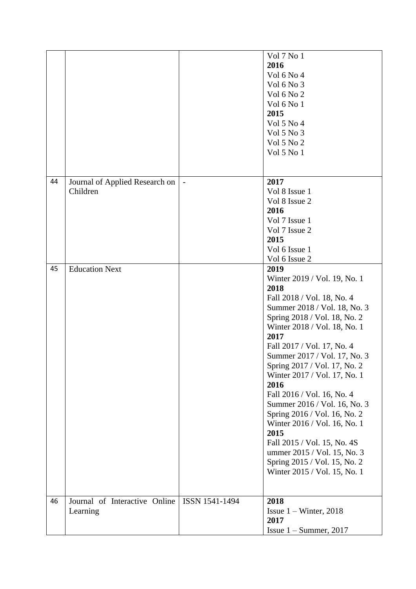|    |                                |                | Vol 7 No 1                   |
|----|--------------------------------|----------------|------------------------------|
|    |                                |                | 2016                         |
|    |                                |                | Vol 6 No 4                   |
|    |                                |                | Vol 6 No 3                   |
|    |                                |                |                              |
|    |                                |                | Vol 6 No 2                   |
|    |                                |                | Vol 6 No 1                   |
|    |                                |                | 2015                         |
|    |                                |                | Vol 5 No 4                   |
|    |                                |                | Vol 5 No 3                   |
|    |                                |                | Vol 5 No 2                   |
|    |                                |                | Vol 5 No 1                   |
|    |                                |                |                              |
|    |                                |                |                              |
| 44 | Journal of Applied Research on |                | 2017                         |
|    |                                |                | Vol 8 Issue 1                |
|    | Children                       |                |                              |
|    |                                |                | Vol 8 Issue 2                |
|    |                                |                | 2016                         |
|    |                                |                | Vol 7 Issue 1                |
|    |                                |                | Vol 7 Issue 2                |
|    |                                |                | 2015                         |
|    |                                |                | Vol 6 Issue 1                |
|    |                                |                | Vol 6 Issue 2                |
| 45 | <b>Education Next</b>          |                | 2019                         |
|    |                                |                | Winter 2019 / Vol. 19, No. 1 |
|    |                                |                | 2018                         |
|    |                                |                |                              |
|    |                                |                | Fall 2018 / Vol. 18, No. 4   |
|    |                                |                | Summer 2018 / Vol. 18, No. 3 |
|    |                                |                | Spring 2018 / Vol. 18, No. 2 |
|    |                                |                | Winter 2018 / Vol. 18, No. 1 |
|    |                                |                | 2017                         |
|    |                                |                | Fall 2017 / Vol. 17, No. 4   |
|    |                                |                | Summer 2017 / Vol. 17, No. 3 |
|    |                                |                | Spring 2017 / Vol. 17, No. 2 |
|    |                                |                | Winter 2017 / Vol. 17, No. 1 |
|    |                                |                | 2016                         |
|    |                                |                | Fall 2016 / Vol. 16, No. 4   |
|    |                                |                |                              |
|    |                                |                | Summer 2016 / Vol. 16, No. 3 |
|    |                                |                | Spring 2016 / Vol. 16, No. 2 |
|    |                                |                | Winter 2016 / Vol. 16, No. 1 |
|    |                                |                | 2015                         |
|    |                                |                | Fall 2015 / Vol. 15, No. 4S  |
|    |                                |                | ummer 2015 / Vol. 15, No. 3  |
|    |                                |                | Spring 2015 / Vol. 15, No. 2 |
|    |                                |                | Winter 2015 / Vol. 15, No. 1 |
|    |                                |                |                              |
|    |                                |                |                              |
| 46 | Journal of Interactive Online  | ISSN 1541-1494 | 2018                         |
|    | Learning                       |                | Issue $1 -$ Winter, 2018     |
|    |                                |                | 2017                         |
|    |                                |                |                              |
|    |                                |                | Issue $1 -$ Summer, 2017     |